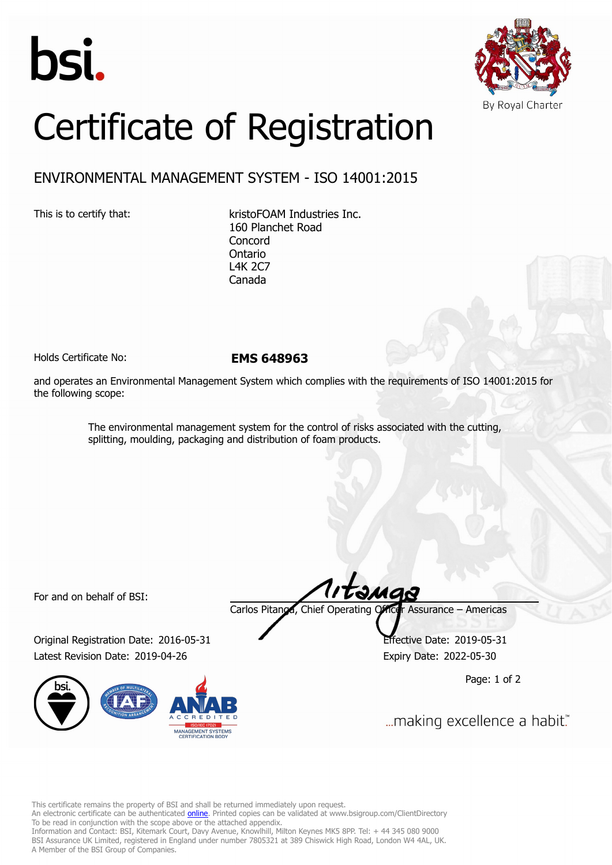



## Certificate of Registration

## ENVIRONMENTAL MANAGEMENT SYSTEM - ISO 14001:2015

This is to certify that: kristoFOAM Industries Inc. 160 Planchet Road Concord Ontario L4K 2C7 Canada

Holds Certificate No: **EMS 648963**

and operates an Environmental Management System which complies with the requirements of ISO 14001:2015 for the following scope:

> The environmental management system for the control of risks associated with the cutting, splitting, moulding, packaging and distribution of foam products.

For and on behalf of BSI:

Original Registration Date: 2016-05-31 Effective Date: 2019-05-31 Latest Revision Date: 2019-04-26 Expiry Date: 2022-05-30



tanga Carlos Pitanga, Chief Operating Officer Assurance – Americas

Page: 1 of 2

... making excellence a habit."

This certificate remains the property of BSI and shall be returned immediately upon request.

An electronic certificate can be authenticated *[online](https://pgplus.bsigroup.com/CertificateValidation/CertificateValidator.aspx?CertificateNumber=EMS+648963&ReIssueDate=26%2f04%2f2019&Template=inc)*. Printed copies can be validated at www.bsigroup.com/ClientDirectory To be read in conjunction with the scope above or the attached appendix.

Information and Contact: BSI, Kitemark Court, Davy Avenue, Knowlhill, Milton Keynes MK5 8PP. Tel: + 44 345 080 9000 BSI Assurance UK Limited, registered in England under number 7805321 at 389 Chiswick High Road, London W4 4AL, UK. A Member of the BSI Group of Companies.